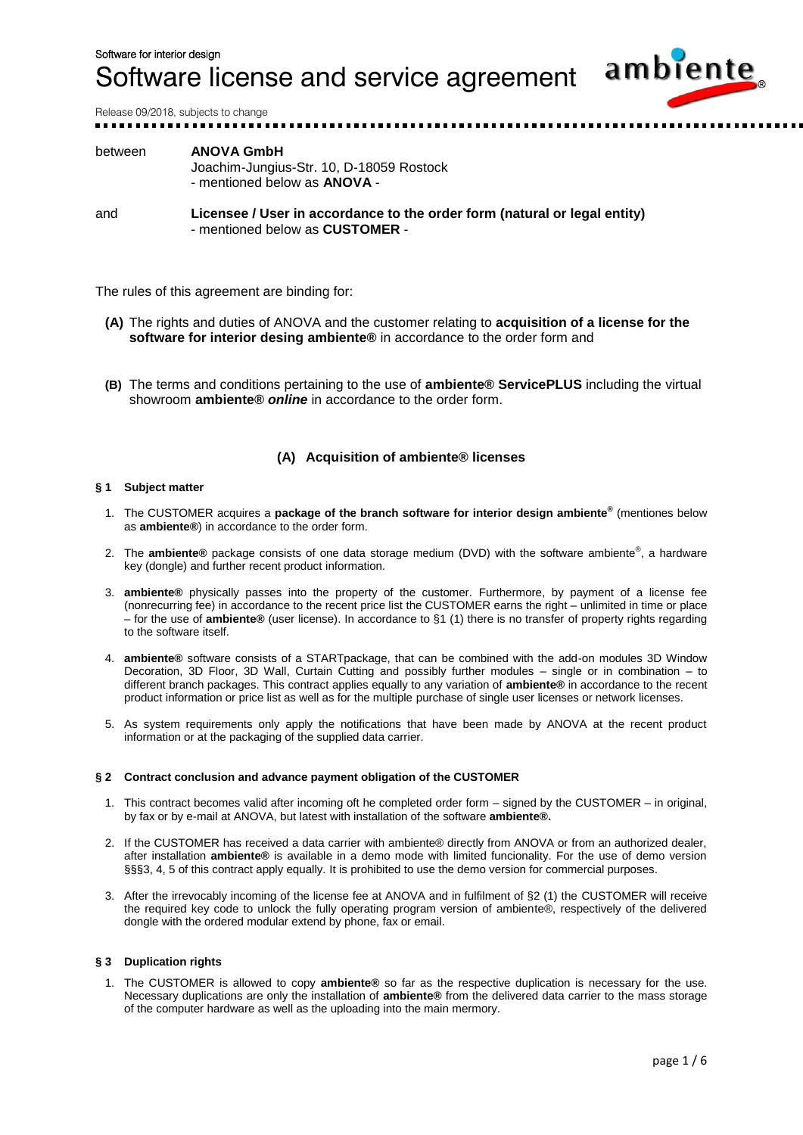

Release 09/2018, subjects to change

## between **ANOVA GmbH** Joachim-Jungius-Str. 10, D-18059 Rostock - mentioned below as **ANOVA** -

and **Licensee / User in accordance to the order form (natural or legal entity)** - mentioned below as **CUSTOMER** -

The rules of this agreement are binding for:

- **(A)** The rights and duties of ANOVA and the customer relating to **acquisition of a license for the software for interior desing ambiente®** in accordance to the order form and
- **(B)** The terms and conditions pertaining to the use of **ambiente® ServicePLUS** including the virtual showroom **ambiente®** *online* in accordance to the order form.

## **(A) Acquisition of ambiente® licenses**

## **§ 1 Subject matter**

- 1. The CUSTOMER acquires a **package of the branch software for interior design ambiente®** (mentiones below as **ambiente®**) in accordance to the order form.
- 2. The **ambiente®** package consists of one data storage medium (DVD) with the software ambiente® , a hardware key (dongle) and further recent product information.
- 3. **ambiente®** physically passes into the property of the customer. Furthermore, by payment of a license fee (nonrecurring fee) in accordance to the recent price list the CUSTOMER earns the right – unlimited in time or place – for the use of **ambiente®** (user license). In accordance to §1 (1) there is no transfer of property rights regarding to the software itself.
- 4. **ambiente®** software consists of a STARTpackage, that can be combined with the add-on modules 3D Window Decoration, 3D Floor, 3D Wall, Curtain Cutting and possibly further modules – single or in combination – to different branch packages. This contract applies equally to any variation of **ambiente®** in accordance to the recent product information or price list as well as for the multiple purchase of single user licenses or network licenses.
- 5. As system requirements only apply the notifications that have been made by ANOVA at the recent product information or at the packaging of the supplied data carrier.

## **§ 2 Contract conclusion and advance payment obligation of the CUSTOMER**

- 1. This contract becomes valid after incoming oft he completed order form signed by the CUSTOMER in original, by fax or by e-mail at ANOVA, but latest with installation of the software **ambiente®.**
- 2. If the CUSTOMER has received a data carrier with ambiente® directly from ANOVA or from an authorized dealer, after installation **ambiente®** is available in a demo mode with limited funcionality. For the use of demo version §§§3, 4, 5 of this contract apply equally. It is prohibited to use the demo version for commercial purposes.
- 3. After the irrevocably incoming of the license fee at ANOVA and in fulfilment of §2 (1) the CUSTOMER will receive the required key code to unlock the fully operating program version of ambiente®, respectively of the delivered dongle with the ordered modular extend by phone, fax or email.

## **§ 3 Duplication rights**

1. The CUSTOMER is allowed to copy **ambiente®** so far as the respective duplication is necessary for the use. Necessary duplications are only the installation of **ambiente®** from the delivered data carrier to the mass storage of the computer hardware as well as the uploading into the main mermory.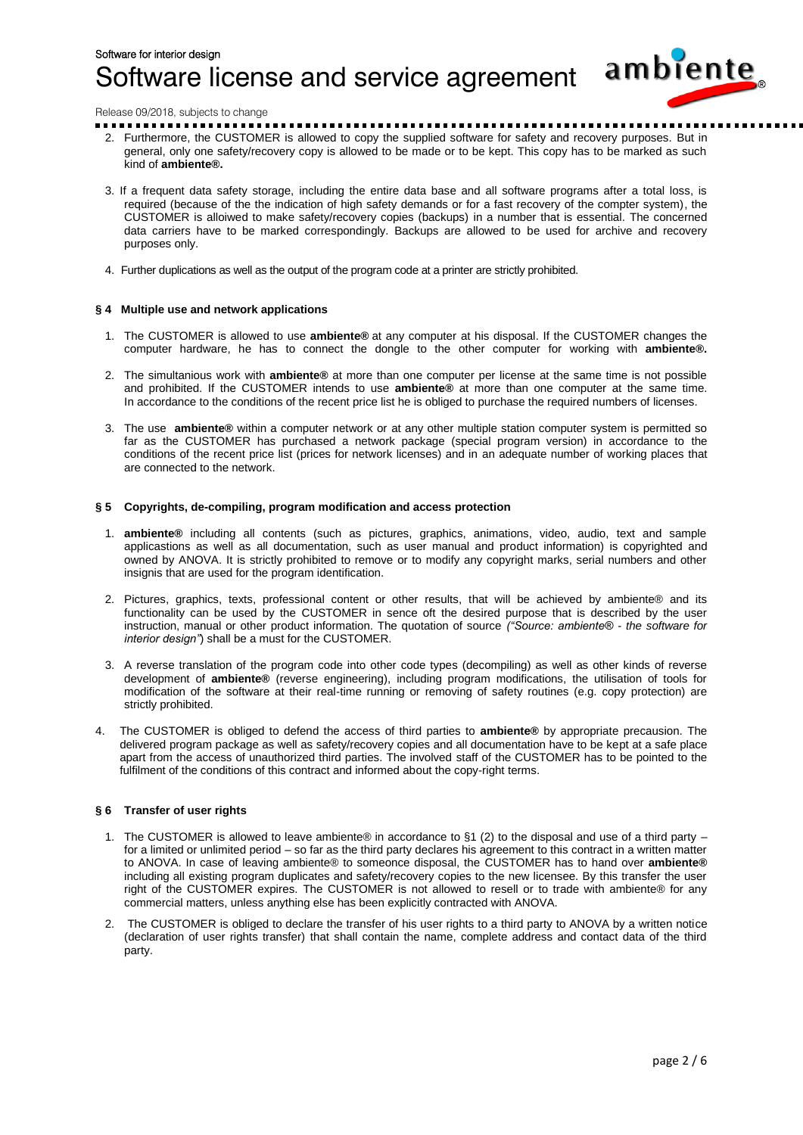

Release 09/2018, subjects to change

- 2. Furthermore, the CUSTOMER is allowed to copy the supplied software for safety and recovery purposes. But in general, only one safety/recovery copy is allowed to be made or to be kept. This copy has to be marked as such kind of **ambiente®.**
- 3. If a frequent data safety storage, including the entire data base and all software programs after a total loss, is required (because of the the indication of high safety demands or for a fast recovery of the compter system), the CUSTOMER is alloiwed to make safety/recovery copies (backups) in a number that is essential. The concerned data carriers have to be marked correspondingly. Backups are allowed to be used for archive and recovery purposes only.
- 4. Further duplications as well as the output of the program code at a printer are strictly prohibited.

## **§ 4 Multiple use and network applications**

- 1. The CUSTOMER is allowed to use **ambiente®** at any computer at his disposal. If the CUSTOMER changes the computer hardware, he has to connect the dongle to the other computer for working with **ambiente®.**
- 2. The simultanious work with **ambiente®** at more than one computer per license at the same time is not possible and prohibited. If the CUSTOMER intends to use **ambiente®** at more than one computer at the same time. In accordance to the conditions of the recent price list he is obliged to purchase the required numbers of licenses.
- 3. The use **ambiente®** within a computer network or at any other multiple station computer system is permitted so far as the CUSTOMER has purchased a network package (special program version) in accordance to the conditions of the recent price list (prices for network licenses) and in an adequate number of working places that are connected to the network.

## **§ 5 Copyrights, de-compiling, program modification and access protection**

- 1. **ambiente®** including all contents (such as pictures, graphics, animations, video, audio, text and sample applicastions as well as all documentation, such as user manual and product information) is copyrighted and owned by ANOVA. It is strictly prohibited to remove or to modify any copyright marks, serial numbers and other insignis that are used for the program identification.
- 2. Pictures, graphics, texts, professional content or other results, that will be achieved by ambiente® and its functionality can be used by the CUSTOMER in sence oft the desired purpose that is described by the user instruction, manual or other product information. The quotation of source *("Source: ambiente® - the software for interior design"*) shall be a must for the CUSTOMER.
- 3. A reverse translation of the program code into other code types (decompiling) as well as other kinds of reverse development of **ambiente®** (reverse engineering), including program modifications, the utilisation of tools for modification of the software at their real-time running or removing of safety routines (e.g. copy protection) are strictly prohibited.
- 4. The CUSTOMER is obliged to defend the access of third parties to **ambiente®** by appropriate precausion. The delivered program package as well as safety/recovery copies and all documentation have to be kept at a safe place apart from the access of unauthorized third parties. The involved staff of the CUSTOMER has to be pointed to the fulfilment of the conditions of this contract and informed about the copy-right terms.

## **§ 6 Transfer of user rights**

- 1. The CUSTOMER is allowed to leave ambiente® in accordance to §1 (2) to the disposal and use of a third party  $$ for a limited or unlimited period – so far as the third party declares his agreement to this contract in a written matter to ANOVA. In case of leaving ambiente® to someonce disposal, the CUSTOMER has to hand over **ambiente®** including all existing program duplicates and safety/recovery copies to the new licensee. By this transfer the user right of the CUSTOMER expires. The CUSTOMER is not allowed to resell or to trade with ambiente® for any commercial matters, unless anything else has been explicitly contracted with ANOVA.
- 2. The CUSTOMER is obliged to declare the transfer of his user rights to a third party to ANOVA by a written notice (declaration of user rights transfer) that shall contain the name, complete address and contact data of the third party.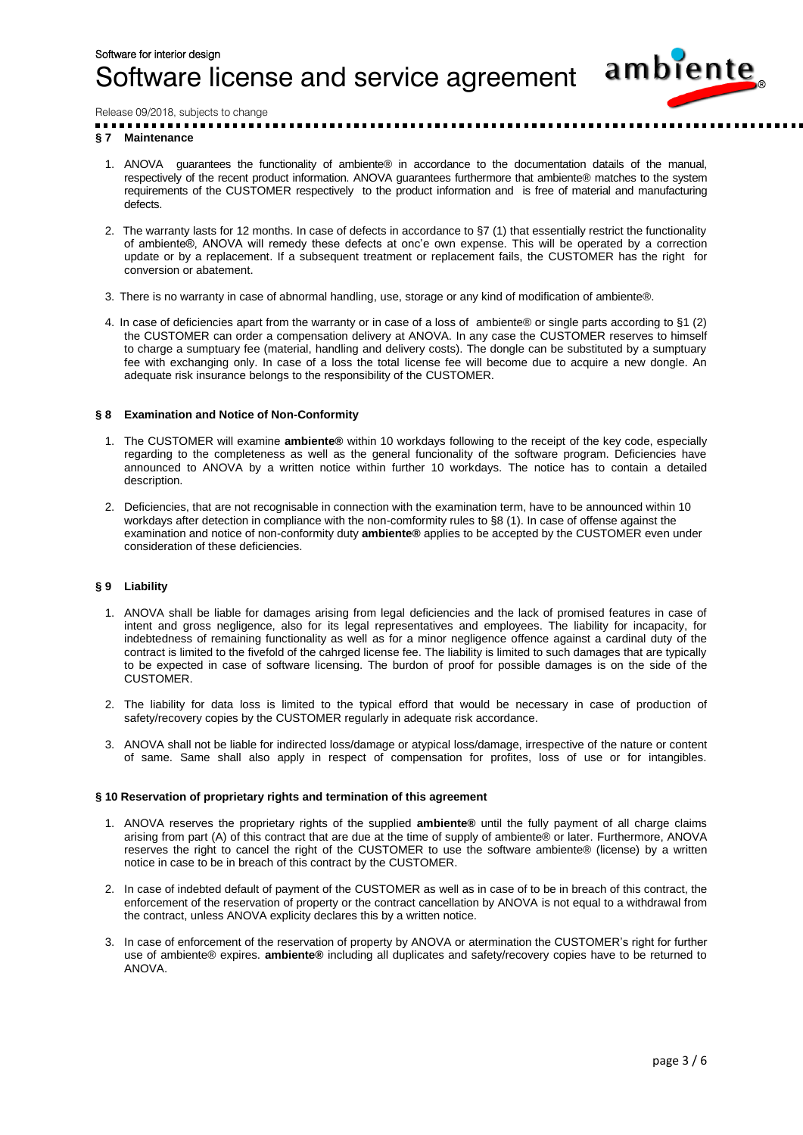

Release 09/2018, subjects to change

## **§ 7 Maintenance**

- 1. ANOVA guarantees the functionality of ambiente® in accordance to the documentation datails of the manual, respectively of the recent product information. ANOVA guarantees furthermore that ambiente® matches to the system requirements of the CUSTOMER respectively to the product information and is free of material and manufacturing defects.
- 2. The warranty lasts for 12 months. In case of defects in accordance to  $\S7$  (1) that essentially restrict the functionality of ambiente®, ANOVA will remedy these defects at onc'e own expense. This will be operated by a correction update or by a replacement. If a subsequent treatment or replacement fails, the CUSTOMER has the right for conversion or abatement.
- 3. There is no warranty in case of abnormal handling, use, storage or any kind of modification of ambiente®.
- 4. In case of deficiencies apart from the warranty or in case of a loss of ambiente® or single parts according to §1 (2) the CUSTOMER can order a compensation delivery at ANOVA. In any case the CUSTOMER reserves to himself to charge a sumptuary fee (material, handling and delivery costs). The dongle can be substituted by a sumptuary fee with exchanging only. In case of a loss the total license fee will become due to acquire a new dongle. An adequate risk insurance belongs to the responsibility of the CUSTOMER.

## **§ 8 Examination and Notice of Non-Conformity**

- 1. The CUSTOMER will examine **ambiente®** within 10 workdays following to the receipt of the key code, especially regarding to the completeness as well as the general funcionality of the software program. Deficiencies have announced to ANOVA by a written notice within further 10 workdays. The notice has to contain a detailed description.
- 2. Deficiencies, that are not recognisable in connection with the examination term, have to be announced within 10 workdays after detection in compliance with the non-comformity rules to §8 (1). In case of offense against the examination and notice of non-conformity duty **ambiente®** applies to be accepted by the CUSTOMER even under consideration of these deficiencies.

## **§ 9 Liability**

- 1. ANOVA shall be liable for damages arising from legal deficiencies and the lack of promised features in case of intent and gross negligence, also for its legal representatives and employees. The liability for incapacity, for indebtedness of remaining functionality as well as for a minor negligence offence against a cardinal duty of the contract is limited to the fivefold of the cahrged license fee. The liability is limited to such damages that are typically to be expected in case of software licensing. The burdon of proof for possible damages is on the side of the CUSTOMER.
- 2. The liability for data loss is limited to the typical efford that would be necessary in case of production of safety/recovery copies by the CUSTOMER regularly in adequate risk accordance.
- 3. ANOVA shall not be liable for indirected loss/damage or atypical loss/damage, irrespective of the nature or content of same. Same shall also apply in respect of compensation for profites, loss of use or for intangibles.

## **§ 10 Reservation of proprietary rights and termination of this agreement**

- 1. ANOVA reserves the proprietary rights of the supplied **ambiente®** until the fully payment of all charge claims arising from part (A) of this contract that are due at the time of supply of ambiente® or later. Furthermore, ANOVA reserves the right to cancel the right of the CUSTOMER to use the software ambiente® (license) by a written notice in case to be in breach of this contract by the CUSTOMER.
- 2. In case of indebted default of payment of the CUSTOMER as well as in case of to be in breach of this contract, the enforcement of the reservation of property or the contract cancellation by ANOVA is not equal to a withdrawal from the contract, unless ANOVA explicity declares this by a written notice.
- 3. In case of enforcement of the reservation of property by ANOVA or atermination the CUSTOMER's right for further use of ambiente® expires. **ambiente®** including all duplicates and safety/recovery copies have to be returned to ANOVA.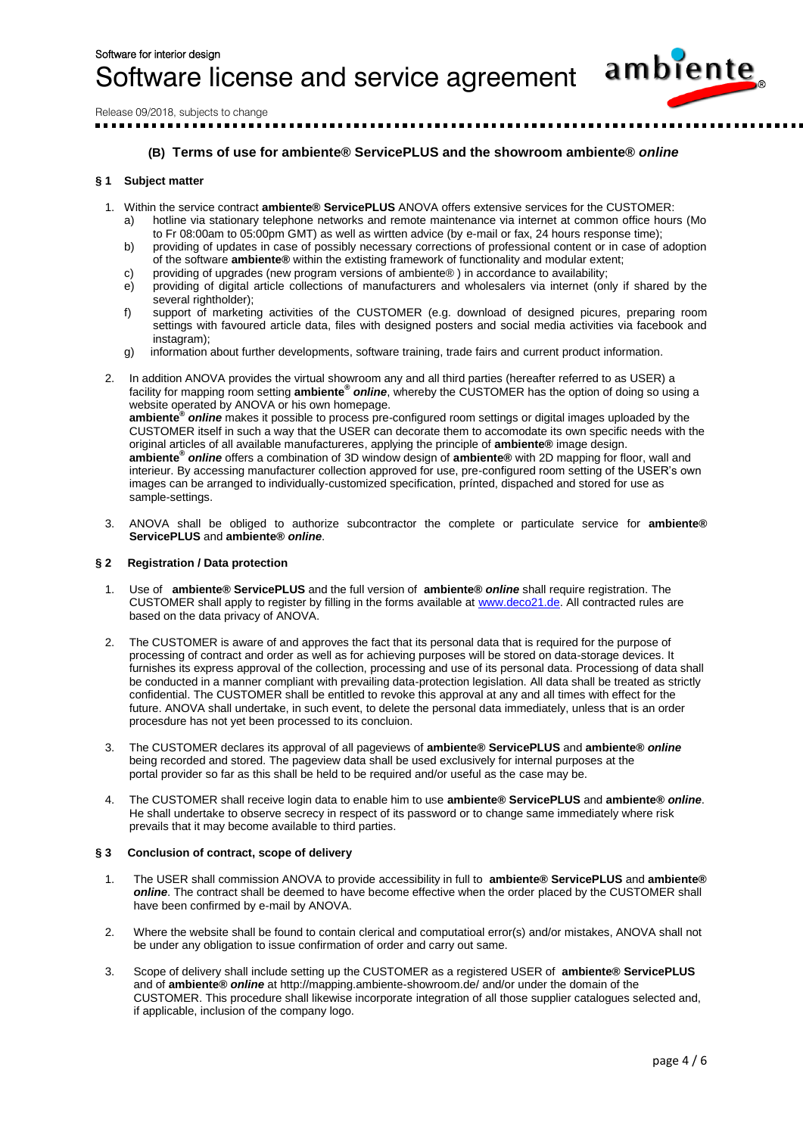

Release 09/2018, subjects to change

## **(B) Terms of use for ambiente® ServicePLUS and the showroom ambiente®** *online*

## **§ 1 Subject matter**

- 1. Within the service contract **ambiente® ServicePLUS** ANOVA offers extensive services for the CUSTOMER:
	- a) hotline via stationary telephone networks and remote maintenance via internet at common office hours (Mo to Fr 08:00am to 05:00pm GMT) as well as wirtten advice (by e-mail or fax, 24 hours response time);
	- b) providing of updates in case of possibly necessary corrections of professional content or in case of adoption of the software **ambiente®** within the extisting framework of functionality and modular extent;
	- c) providing of upgrades (new program versions of ambiente® ) in accordance to availability;
	- e) providing of digital article collections of manufacturers and wholesalers via internet (only if shared by the several rightholder);
	- f) support of marketing activities of the CUSTOMER (e.g. download of designed picures, preparing room settings with favoured article data, files with designed posters and social media activities via facebook and  $in$ stagram $)$ ;
	- g) information about further developments, software training, trade fairs and current product information.
- 2. In addition ANOVA provides the virtual showroom any and all third parties (hereafter referred to as USER) a facility for mapping room setting **ambiente®** *online*, whereby the CUSTOMER has the option of doing so using a website operated by ANOVA or his own homepage. **ambiente®** *online* makes it possible to process pre-configured room settings or digital images uploaded by the CUSTOMER itself in such a way that the USER can decorate them to accomodate its own specific needs with the original articles of all available manufactureres, applying the principle of **ambiente®** image design. **ambiente®** *online* offers a combination of 3D window design of **ambiente®** with 2D mapping for floor, wall and interieur. By accessing manufacturer collection approved for use, pre-configured room setting of the USER's own images can be arranged to individually-customized specification, prínted, dispached and stored for use as sample-settings.
- 3. ANOVA shall be obliged to authorize subcontractor the complete or particulate service for **ambiente® ServicePLUS** and **ambiente®** *online*.

## **§ 2 Registration / Data protection**

- 1. Use of **ambiente® ServicePLUS** and the full version of **ambiente®** *online* shall require registration. The CUSTOMER shall apply to register by filling in the forms available at [www.deco21.de.](http://www.deco21.de/) All contracted rules are based on the data privacy of ANOVA.
- 2. The CUSTOMER is aware of and approves the fact that its personal data that is required for the purpose of processing of contract and order as well as for achieving purposes will be stored on data-storage devices. It furnishes its express approval of the collection, processing and use of its personal data. Processiong of data shall be conducted in a manner compliant with prevailing data-protection legislation. All data shall be treated as strictly confidential. The CUSTOMER shall be entitled to revoke this approval at any and all times with effect for the future. ANOVA shall undertake, in such event, to delete the personal data immediately, unless that is an order procesdure has not yet been processed to its concluion.
- 3. The CUSTOMER declares its approval of all pageviews of **ambiente® ServicePLUS** and **ambiente®** *online* being recorded and stored. The pageview data shall be used exclusively for internal purposes at the portal provider so far as this shall be held to be required and/or useful as the case may be.
- 4. The CUSTOMER shall receive login data to enable him to use **ambiente® ServicePLUS** and **ambiente®** *online*. He shall undertake to observe secrecy in respect of its password or to change same immediately where risk prevails that it may become available to third parties.

## **§ 3 Conclusion of contract, scope of delivery**

- 1. The USER shall commission ANOVA to provide accessibility in full to **ambiente® ServicePLUS** and **ambiente®**  *online*. The contract shall be deemed to have become effective when the order placed by the CUSTOMER shall have been confirmed by e-mail by ANOVA.
- 2. Where the website shall be found to contain clerical and computatioal error(s) and/or mistakes, ANOVA shall not be under any obligation to issue confirmation of order and carry out same.
- 3. Scope of delivery shall include setting up the CUSTOMER as a registered USER of **ambiente® ServicePLUS** and of **ambiente®** *online* at http://mapping.ambiente-showroom.de/ and/or under the domain of the CUSTOMER. This procedure shall likewise incorporate integration of all those supplier catalogues selected and, if applicable, inclusion of the company logo.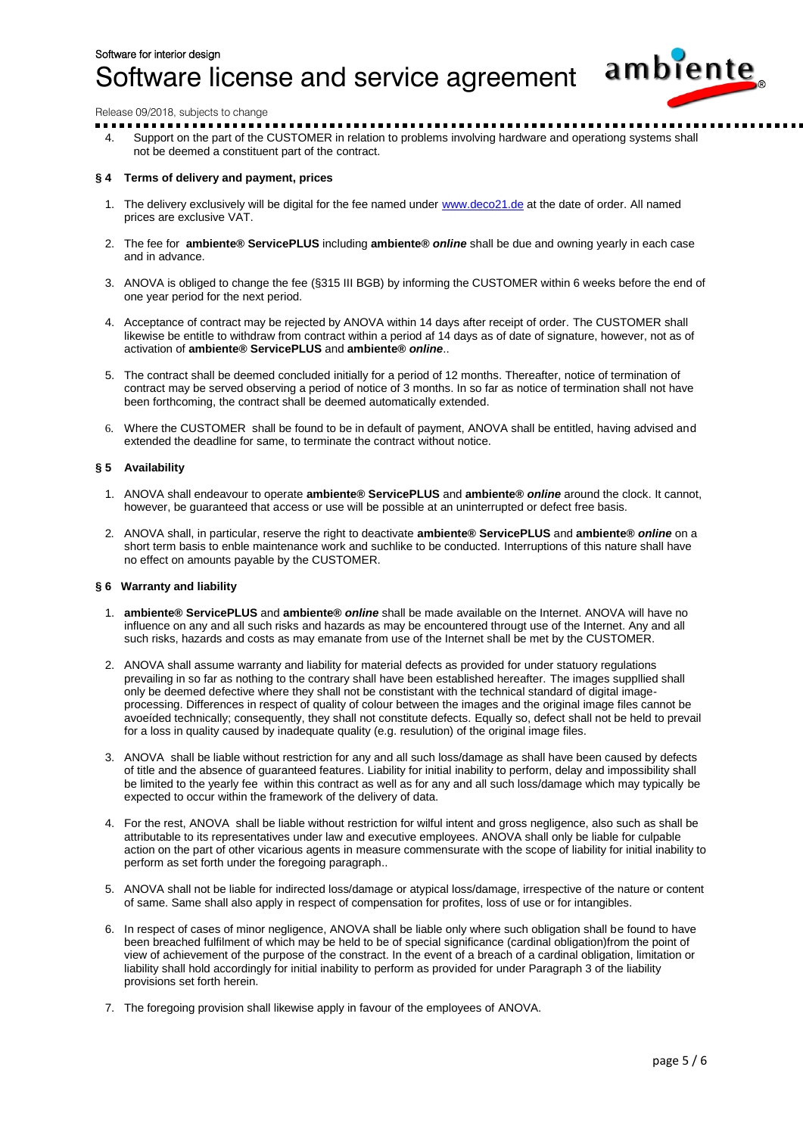

Release 09/2018, subjects to change

4. Support on the part of the CUSTOMER in relation to problems involving hardware and operationg systems shall not be deemed a constituent part of the contract.

## **§ 4 Terms of delivery and payment, prices**

- 1. The delivery exclusively will be digital for the fee named under [www.deco21.de](http://www.deco21.de/) at the date of order. All named prices are exclusive VAT.
- 2. The fee for **ambiente® ServicePLUS** including **ambiente®** *online* shall be due and owning yearly in each case and in advance.
- 3. ANOVA is obliged to change the fee (§315 III BGB) by informing the CUSTOMER within 6 weeks before the end of one year period for the next period.
- 4. Acceptance of contract may be rejected by ANOVA within 14 days after receipt of order. The CUSTOMER shall likewise be entitle to withdraw from contract within a period af 14 days as of date of signature, however, not as of activation of **ambiente® ServicePLUS** and **ambiente®** *online*..
- 5. The contract shall be deemed concluded initially for a period of 12 months. Thereafter, notice of termination of contract may be served observing a period of notice of 3 months. In so far as notice of termination shall not have been forthcoming, the contract shall be deemed automatically extended.
- 6. Where the CUSTOMER shall be found to be in default of payment, ANOVA shall be entitled, having advised and extended the deadline for same, to terminate the contract without notice.

## **§ 5 Availability**

- 1. ANOVA shall endeavour to operate **ambiente® ServicePLUS** and **ambiente®** *online* around the clock. It cannot, however, be guaranteed that access or use will be possible at an uninterrupted or defect free basis.
- 2. ANOVA shall, in particular, reserve the right to deactivate **ambiente® ServicePLUS** and **ambiente®** *online* on a short term basis to enble maintenance work and suchlike to be conducted. Interruptions of this nature shall have no effect on amounts payable by the CUSTOMER.

## **§ 6 Warranty and liability**

- 1. **ambiente® ServicePLUS** and **ambiente®** *online* shall be made available on the Internet. ANOVA will have no influence on any and all such risks and hazards as may be encountered througt use of the Internet. Any and all such risks, hazards and costs as may emanate from use of the Internet shall be met by the CUSTOMER.
- 2. ANOVA shall assume warranty and liability for material defects as provided for under statuory regulations prevailing in so far as nothing to the contrary shall have been established hereafter. The images suppllied shall only be deemed defective where they shall not be constistant with the technical standard of digital imageprocessing. Differences in respect of quality of colour between the images and the original image files cannot be avoeíded technically; consequently, they shall not constitute defects. Equally so, defect shall not be held to prevail for a loss in quality caused by inadequate quality (e.g. resulution) of the original image files.
- 3. ANOVA shall be liable without restriction for any and all such loss/damage as shall have been caused by defects of title and the absence of guaranteed features. Liability for initial inability to perform, delay and impossibility shall be limited to the yearly fee within this contract as well as for any and all such loss/damage which may typically be expected to occur within the framework of the delivery of data.
- 4. For the rest, ANOVA shall be liable without restriction for wilful intent and gross negligence, also such as shall be attributable to its representatives under law and executive employees. ANOVA shall only be liable for culpable action on the part of other vicarious agents in measure commensurate with the scope of liability for initial inability to perform as set forth under the foregoing paragraph..
- 5. ANOVA shall not be liable for indirected loss/damage or atypical loss/damage, irrespective of the nature or content of same. Same shall also apply in respect of compensation for profites, loss of use or for intangibles.
- 6. In respect of cases of minor negligence, ANOVA shall be liable only where such obligation shall be found to have been breached fulfilment of which may be held to be of special significance (cardinal obligation)from the point of view of achievement of the purpose of the constract. In the event of a breach of a cardinal obligation, limitation or liability shall hold accordingly for initial inability to perform as provided for under Paragraph 3 of the liability provisions set forth herein.
- 7. The foregoing provision shall likewise apply in favour of the employees of ANOVA.